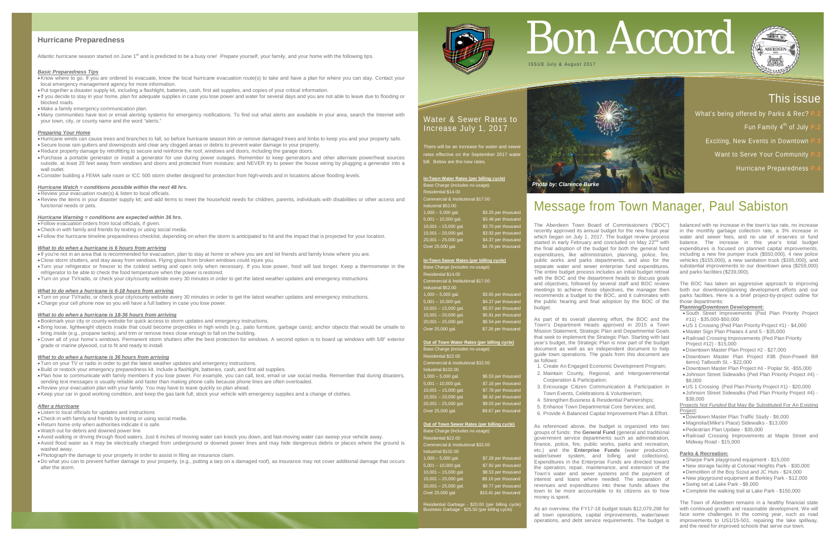#### **Hurricane Preparedness**

Atlantic hurricane season started on June 1<sup>st</sup> and is predicted to be a busy one! Prepare yourself, your family, and your home [with the following](https://www.ready.gov/hurricanes?utm_source=hp_promo&utm_medium=web&utm_campaign=ready) tips.

#### *[Basic Preparedness Tips](https://www.ready.gov/hurricanes?utm_source=hp_promo&utm_medium=web&utm_campaign=ready)*

•Know where to go. If you are ordered to evacuate, know the local hurricane evacuation route(s) to take and have a plan for where you can stay. Contact your local emergency management agency for more information.

•Put together a disaster supply kit, including a flashlight, batteries, cash, first aid supplies, and copies of your critical information.

• If you decide to stay in your home, plan for adequate supplies in case you lose power and water for several days and you are not able to leave due to flooding or blocked roads.

• Make [a family emergency communication plan.](http://www.ready.gov/make-a-plan)

• Many communities have text or email alerting systems for emergency notifications. To find out what alerts are available in your area, search the Internet with your town, city, or county name and the word "alerts."

•Review the items in your disaster supply kit; and add items to meet the household needs for children, parents[, individuals with disabilities or other access and](http://www.ready.gov/myplan)  [functional needs](http://www.ready.gov/myplan) or pets.

#### *[Preparing Your Home](https://www.ready.gov/hurricanes?utm_source=hp_promo&utm_medium=web&utm_campaign=ready)*

•Hurricane winds can cause trees and branches to fall, so before hurricane season trim or remove damaged trees and limbs to keep you and your property safe. •Secure loose rain gutters and downspouts and clear any clogged areas or debris to prevent water damage to your property.

•Reduce property damage by retrofitting to secure and reinforce the roof, windows and doors, including the garage doors.

•Purchase a portable generator or install a generator for use during power outages. Remember to keep generators and other alternate power/heat sources outside, at least 20 feet away from windows and doors and protected from moisture; and NEVER try to power the house wiring by plugging a generator into a wall outlet.

•Consider building a [FEMA safe room](http://www.fema.gov/safe-rooms) or ICC 500 storm shelter designed for protection from high-winds and in locations above flooding levels.

#### *[Hurricane Watch](https://www.ready.gov/hurricanes?utm_source=hp_promo&utm_medium=web&utm_campaign=ready) = conditions possible within the next 48 hrs.*

•Review your evacuation route(s) & listen to local officials.

#### *[Hurricane Warning](https://www.ready.gov/hurricanes?utm_source=hp_promo&utm_medium=web&utm_campaign=ready) = conditions are expected within 36 hrs***.**

•Follow evacuation orders from local officials, if given.

•Check-in with family and friends by texting or using social media.

•Follow the hurricane timeline preparedness checklist, depending on when the storm is anticipated to hit and the impact that is projected for your location.

#### *[What to do when a hurricane is 6 hours from arriving](https://www.ready.gov/hurricanes?utm_source=hp_promo&utm_medium=web&utm_campaign=ready)*

• If you're not in an area that is recommended for evacuation, plan to stay at home or where you are and let friends and family know where you are.

There will be an increase for water and sewer rates effective on the September 2017 wate bill. Below are the new rates

- •Close storm shutters, and stay away from windows. Flying glass from broken windows could injure you.
- •Turn your refrigerator or freezer to the coldest setting and open only when necessary. If you lose power, food will last longer. Keep a thermometer in the refrigerator to be able to check the food temperature when the power is restored.

•Turn on your TV/radio, or check your city/county website every 30 minutes in order to get the latest weather updates and emergency instructions.

#### *[What to do when a hurricane is 6-18 hours from arriving](https://www.ready.gov/hurricanes?utm_source=hp_promo&utm_medium=web&utm_campaign=ready)*

Base Charge (includes no usage): Residential \$22.00 Commercial & Institutional \$32.00 ndustrial \$102.00

•Turn on your TV/radio, or check your city/county website every 30 minutes in order to get the latest weather updates and emergency instructions. •Charge your cell phone now so you will have a full battery in case you lose power.

#### *[What to do when a hurricane is 18-36 hours from arriving](https://www.ready.gov/hurricanes?utm_source=hp_promo&utm_medium=web&utm_campaign=ready)*

•Bookmark your city or county website for quick access to storm updates and emergency instructions.

•Bring loose, lightweight objects inside that could become projectiles in high winds (e.g., patio furniture, garbage cans); anchor objects that would be unsafe to bring inside (e.g., propane tanks); and trim or remove trees close enough to fall on the building.

•Cover all of your home's windows. Permanent storm shutters offer the best protection for windows. A second option is to board up windows with 5/8" exterior grade or marine plywood, cut to fit and ready to install.

#### *[What to do when a hurricane is 36 hours from arriving](https://www.ready.gov/hurricanes?utm_source=hp_promo&utm_medium=web&utm_campaign=ready)*

•Turn on your TV or radio in order to get the latest weather updates and emergency instructions.

•Build or restock your emergency preparedness kit. Include a flashlight, batteries, cash, and first aid supplies.

•Plan how to communicate with family members if you lose power. For example, you can call, text, email or use social media. Remember that during disasters, sending text messages is usually reliable and faster than making phone calls because phone lines are often overloaded.

•Review your evacuation plan with your family. You may have to leave quickly so plan ahead.

•Keep your car in good working condition, and keep the gas tank full; stock your vehicle with emergency supplies and a change of clothes.

#### *[After a Hurricane](https://www.ready.gov/hurricanes?utm_source=hp_promo&utm_medium=web&utm_campaign=ready)*

• Listen to local officials for updates and instructions

•Check-in with family and friends by texting or using social media.

•Return home only when authorities indicate it is safe.

•Watch out for debris and downed power line

•Avoid walking or driving through flood waters. Just 6 inches of moving water can knock you down, and fast-moving water can sweep your vehicle away.

•Avoid flood water as it may be electrically charged from underground or downed power lines and may hide dangerous debris or places where the ground is washed away.

•Photograph the damage to your property in order to assist in filing an insurance claim.

•Do what you can to prevent further damage to your property, (e.g., putting a tarp on a damaged roof), as insurance may not cover additional damage that occurs after the storm.



## Water & Sewer Rates to Increase July 1, 2017

**In-Town Water Rates (per billing cycle)** Base Charge (includes no usage): Residential \$14.00

mercial & Institutional \$17.00

| Industrial \$52.00     |                     |
|------------------------|---------------------|
| $1,000 - 5,000$ gal.   | \$3.25 per thousand |
| $5,001 - 10,000$ gal.  | \$3.48 per thousand |
| $10,001 - 15,000$ gal. | \$3.70 per thousand |
| $15,001 - 20,000$ gal. | \$3.92 per thousand |
| $20,001 - 25,000$ gal. | \$4.37 per thousand |
| Over 25,000 gal.       | \$4.78 per thousand |

#### **In-Town Sewer Rates (per billing cycle)**

Base Charge (includes no usage)<br>: Residential \$14.00 Commercial & Institutional \$17.00 Industrial \$52.00<br>1.000 - 5.000 gal. \$3.65 per thousand 5,001 – 10,000 gal. \$4.37 per thousand 10,001 – 15,000 gal. \$5.07 per thousand 15,001 - 20,000 gal. \$5.81 per thousand 20,001 - 25,000 gal. \$6.54 per thousand Over 25,000 gal. \$7.26 per thousand

#### **Out of Town Water Rates (per billing cycle)**

| $1,000 - 5,000$ gal.   | \$6.53 per thousand |
|------------------------|---------------------|
| $5,001 - 10,000$ gal.  | \$7.16 per thousand |
| $10,001 - 15,000$ gal. | \$7.78 per thousand |
| $15,001 - 20,000$ gal. | \$8.42 per thousand |
| $20,001 - 25,000$ gal. | \$9.03 per thousand |
| Over 25,000 gal.       | \$9.67 per thousand |

#### **Out of Town Sewer Rates (per billing cycle)**

Base Charge (includes no usage): Residential \$22.00 Commercial & Institutional \$32.00 Industrial \$102.00 1,000 – 5,000 gal. \$7.28 per thousand<br>5,001 – 10,000 gal. \$7.92 per thousand<br>10,001 – 15,000 gal. \$8.53 per thousand 5,001 – 10,000 gal. \$7.92 per thousand 10,001 – 15,000 gal. \$8.53 per thousand 15,001 - 20,000 gal. \$9.16 per thousand 20,001 – 25,000 gal. \$9.77 per thousand Over 25,000 gal. \$10.41 per thousand

Residential Garbage - \$20.00 (per billing cycle) Business Garbage - \$25.50 (per billing cycle)

# Message from Town Manager, Paul Sabiston

# This issue

- What's being offered by Parks & Rec?
	- Fun Family 4<sup>th</sup> of July I
	- **Exciting, New Events in Downtown**
	- Want to Serve Your Community **P** 
		- **Hurricane Preparedness**





The Aberdeen Town Board of Commissioners ("BOC") recently approved its annual budget for the new fiscal year which began on July 1, 2017. The budget review process started in early February and concluded on May 22<sup>nd</sup> with the final adoption of the budget for both the general fund expenditures, like administration, planning, police, fire, public works and parks departments, and also for the separate water and sewer enterprise fund expenditures. The entire budget process includes an initial budget retreat with the BOC and the department heads to discuss goals and objectives, followed by several staff and BOC review meetings to achieve those objectives, the manager then recommends a budget to the BOC, and it culminates with the public hearing and final adoption by the BOC of the budget.

As part of its overall planning effort, the BOC and the Town's Department Heads approved in 2015 a Town Mission Statement, Strategic Plan and Departmental Goals that seek to implement the Strategic Plan. Starting with last year's budget, the Strategic Plan is now part of the budget document as well as an independent document to help guide town operations. The goals from this document are as follows:

1. Create An Engaged Economic Development Program; 2. Maintain County, Regional, and Intergovernmental

- Cooperation & Participation;
- Town Events, Celebrations & Volunteerism;
- 4. Strengthen Business & Residential Partnerships;
- 5. Enhance Town Departmental Core Services; and,
- 
- 3. Encourage Citizen Communication & Participation in
	-
	-
- 6. Provide A Balanced Capital Improvement Plan & Effort.

As referenced above, the budget is organized into two groups of funds: the **General Fund** (general and traditional government service departments such as administration, finance, police, fire, public works, parks and recreation, etc.) and the **Enterprise Funds** (water production, water/sewer system, and billing and collections). Expenditures in the Enterprise Funds are directed toward the operation, repair, maintenance, and extension of the Town's water and sewer systems and the payment of interest and loans where needed. The separation of revenues and expenditures into these funds allows the town to be more accountable to its citizens as to how money is spent.

As an overview, the FY17-18 budget totals \$12,079,298 for all town operations, capital improvements, water/sewer operations, and debt service requirements. The budget is

# Bon Accord



balanced with no increase in the town's tax rate, no increase in the monthly garbage collection rate, a 3% increase in water and sewer fees, and no use of reserves or fund balance. The increase in this year's total budget expenditures is focused on planned capital improvements, including a new fire pumper truck (\$550,000), 4 new police vehicles (\$155,000), a new sanitation truck (\$165,000), and substantial improvements to our downtown area (\$259,000) and parks facilities (\$239,000).

The BOC has taken an aggressive approach to improving both our downtown/planning development efforts and our parks facilities. Here is a brief project-by-project outline for those departments:

#### **Planning/Downtown Development:**

- •South Street Improvements (Ped Plan Priority Project #11) - \$35,000-\$50,000
- •US 1 Crossing (Ped Plan Priority Project #1) \$4,000
- Master Sign Plan Phases 4 and 5 \$35,000
- •Railroad Crossing Improvements (Ped Plan Priority Project #12) - \$15,000
- •Downtown Master Plan Project #2 \$27,000
- •Downtown Master Plan Project #3B (Non-Powell Bill items) Talbooth St. - \$22,000
- •Downtown Master Plan Project #4 Poplar St. -\$55,000
- Johnson Street Sidewalks (Ped Plan Priority Project #4) \$8,000
- •US 1 Crossing (Ped Plan Priority Project #1) \$20,000
- Johnson Street Sidewalks (Ped Plan Priority Project #4) \$38,000

Projects *Not Funded* But May Be Substituted For An Existing Project:

- •Downtown Master Plan Traffic Study \$6,000
- Magnolia/(Mike's Place) Sidewalks \$13,000
- •Pedestrian Plan Update \$35,000
- •Railroad Crossing Improvements at Maple Street and Midway Road - \$15,000

#### **Parks & Recreation:**

- •Sharpe Park playground equipment \$15,000
- •New storage facility at Colonial Heights Park \$30,000
- •Demolition of the Boy Scout and JC Huts \$24,000
- •New playground equipment at Berkley Park \$12,000 •Swing set at Lake Park - \$8,000
- •Complete the walking trail at Lake Park \$150,000

The Town of Aberdeen remains in a healthy financial state with continued growth and reasonable development. We will face some challenges in the coming year, such as road improvements to US1/15-501, repairing the lake spillway, and the need for improved schools that serve our town.